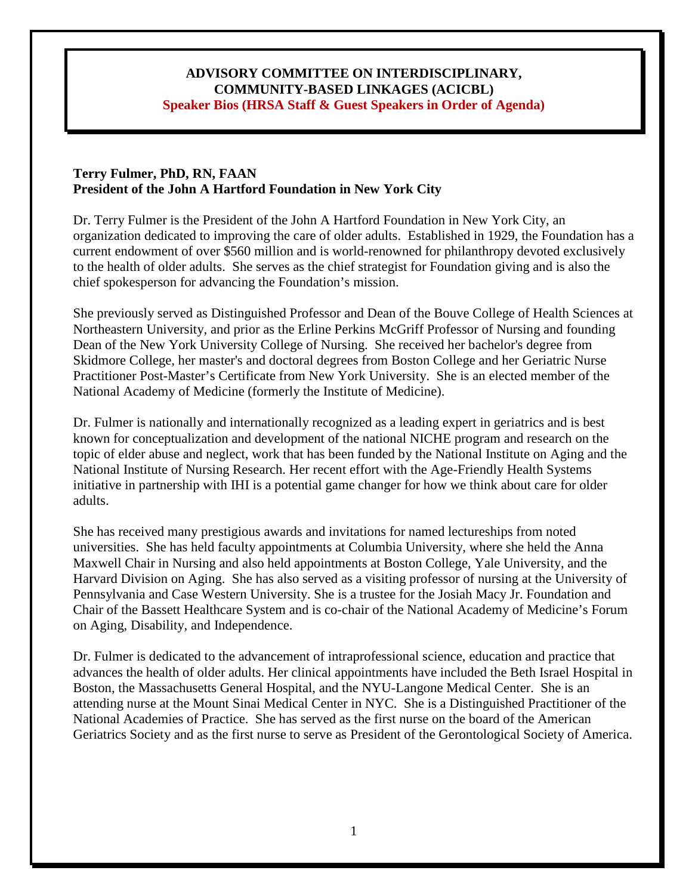## **COMMUNITY-BASED LINKAGES (ACICBL) ADVISORY COMMITTEE ON INTERDISCIPLINARY, Speaker Bios (HRSA Staff & Guest Speakers in Order of Agenda)**

### **Terry Fulmer, PhD, RN, FAAN President of the John A Hartford Foundation in New York City**

Dr. Terry Fulmer is the President of the John A Hartford Foundation in New York City, an organization dedicated to improving the care of older adults. Established in 1929, the Foundation has a current endowment of over \$560 million and is world-renowned for philanthropy devoted exclusively to the health of older adults. She serves as the chief strategist for Foundation giving and is also the chief spokesperson for advancing the Foundation's mission.

 Dean of the New York University College of Nursing. She received her bachelor's degree from She previously served as Distinguished Professor and Dean of the Bouve College of Health Sciences at Northeastern University, and prior as the Erline Perkins McGriff Professor of Nursing and founding Skidmore College, her master's and doctoral degrees from Boston College and her Geriatric Nurse Practitioner Post-Master's Certificate from New York University. She is an elected member of the National Academy of Medicine (formerly the Institute of Medicine).

 topic of elder abuse and neglect, work that has been funded by the National Institute on Aging and the initiative in partnership with IHI is a potential game changer for how we think about care for older Dr. Fulmer is nationally and internationally recognized as a leading expert in geriatrics and is best known for conceptualization and development of the national NICHE program and research on the National Institute of Nursing Research. Her recent effort with the Age-Friendly Health Systems adults.

 Harvard Division on Aging. She has also served as a visiting professor of nursing at the University of Pennsylvania and Case Western University. She is a trustee for the Josiah Macy Jr. Foundation and Chair of the Bassett Healthcare System and is co-chair of the National Academy of Medicine's Forum She has received many prestigious awards and invitations for named lectureships from noted universities. She has held faculty appointments at Columbia University, where she held the Anna Maxwell Chair in Nursing and also held appointments at Boston College, Yale University, and the on Aging, Disability, and Independence.

Dr. Fulmer is dedicated to the advancement of intraprofessional science, education and practice that advances the health of older adults. Her clinical appointments have included the Beth Israel Hospital in Boston, the Massachusetts General Hospital, and the NYU-Langone Medical Center. She is an attending nurse at the Mount Sinai Medical Center in NYC. She is a Distinguished Practitioner of the National Academies of Practice. She has served as the first nurse on the board of the American Geriatrics Society and as the first nurse to serve as President of the Gerontological Society of America.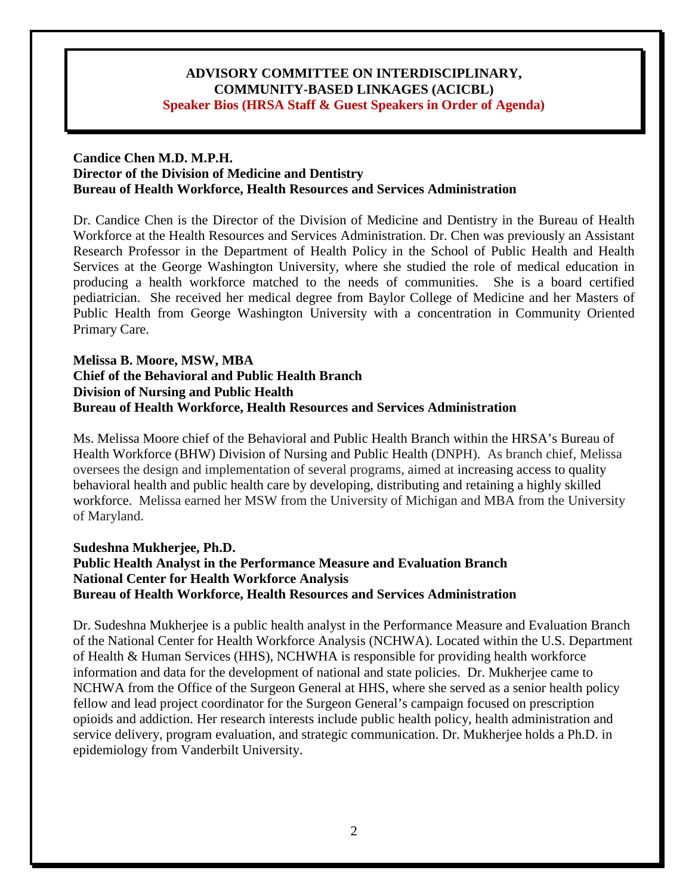### **Candice Chen M.D. M.P.H. Director of the Division of Medicine and Dentistry Bureau of Health Workforce, Health Resources and Services Administration**

 Workforce at the Health Resources and Services Administration. Dr. Chen was previously an Assistant Dr. Candice Chen is the Director of the Division of Medicine and Dentistry in the Bureau of Health Research Professor in the Department of Health Policy in the School of Public Health and Health Services at the George Washington University, where she studied the role of medical education in producing a health workforce matched to the needs of communities. She is a board certified pediatrician. She received her medical degree from Baylor College of Medicine and her Masters of Public Health from George Washington University with a concentration in Community Oriented Primary Care.

# **Melissa B. Moore, MSW, MBA Chief of the Behavioral and Public Health Branch Division of Nursing and Public Health Bureau of Health Workforce, Health Resources and Services Administration**

 Health Workforce (BHW) Division of Nursing and Public Health (DNPH). As branch chief, Melissa workforce. Melissa earned her MSW from the University of Michigan and MBA from the University of Maryland. Ms. Melissa Moore chief of the Behavioral and Public Health Branch within the HRSA's Bureau of oversees the design and implementation of several programs, aimed at increasing access to quality behavioral health and public health care by developing, distributing and retaining a highly skilled

# **Sudeshna Mukherjee, Ph.D. Public Health Analyst in the Performance Measure and Evaluation Branch National Center for Health Workforce Analysis Bureau of Health Workforce, Health Resources and Services Administration**

 information and data for the development of national and state policies. Dr. Mukherjee came to Dr. Sudeshna Mukherjee is a public health analyst in the Performance Measure and Evaluation Branch of the National Center for Health Workforce Analysis (NCHWA). Located within the U.S. Department of Health & Human Services (HHS), NCHWHA is responsible for providing health workforce NCHWA from the Office of the Surgeon General at HHS, where she served as a senior health policy fellow and lead project coordinator for the Surgeon General's campaign focused on prescription opioids and addiction. Her research interests include public health policy, health administration and service delivery, program evaluation, and strategic communication. Dr. Mukherjee holds a Ph.D. in epidemiology from Vanderbilt University.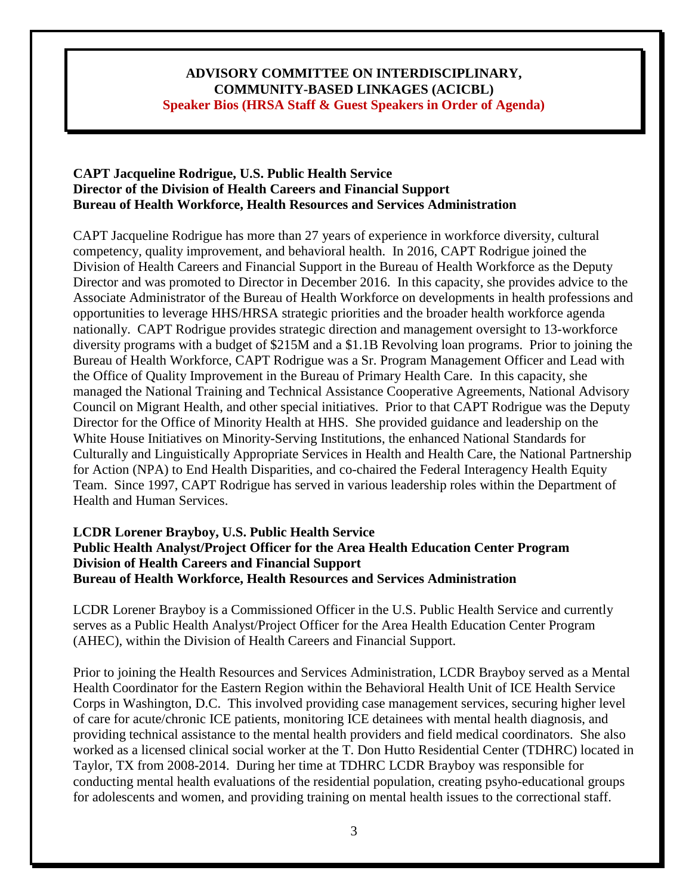# **CAPT Jacqueline Rodrigue, U.S. Public Health Service Director of the Division of Health Careers and Financial Support Bureau of Health Workforce, Health Resources and Services Administration**

 diversity programs with a budget of \$215M and a \$1.1B Revolving loan programs. Prior to joining the the Office of Quality Improvement in the Bureau of Primary Health Care. In this capacity, she White House Initiatives on Minority-Serving Institutions, the enhanced National Standards for CAPT Jacqueline Rodrigue has more than 27 years of experience in workforce diversity, cultural competency, quality improvement, and behavioral health. In 2016, CAPT Rodrigue joined the Division of Health Careers and Financial Support in the Bureau of Health Workforce as the Deputy Director and was promoted to Director in December 2016. In this capacity, she provides advice to the Associate Administrator of the Bureau of Health Workforce on developments in health professions and opportunities to leverage HHS/HRSA strategic priorities and the broader health workforce agenda nationally. CAPT Rodrigue provides strategic direction and management oversight to 13-workforce Bureau of Health Workforce, CAPT Rodrigue was a Sr. Program Management Officer and Lead with managed the National Training and Technical Assistance Cooperative Agreements, National Advisory Council on Migrant Health, and other special initiatives. Prior to that CAPT Rodrigue was the Deputy Director for the Office of Minority Health at HHS. She provided guidance and leadership on the Culturally and Linguistically Appropriate Services in Health and Health Care, the National Partnership for Action (NPA) to End Health Disparities, and co-chaired the Federal Interagency Health Equity Team. Since 1997, CAPT Rodrigue has served in various leadership roles within the Department of Health and Human Services.

# **LCDR Lorener Brayboy, U.S. Public Health Service Public Health Analyst/Project Officer for the Area Health Education Center Program Division of Health Careers and Financial Support Bureau of Health Workforce, Health Resources and Services Administration**

 LCDR Lorener Brayboy is a Commissioned Officer in the U.S. Public Health Service and currently serves as a Public Health Analyst/Project Officer for the Area Health Education Center Program (AHEC), within the Division of Health Careers and Financial Support.

 worked as a licensed clinical social worker at the T. Don Hutto Residential Center (TDHRC) located in Taylor, TX from 2008-2014. During her time at TDHRC LCDR Brayboy was responsible for Prior to joining the Health Resources and Services Administration, LCDR Brayboy served as a Mental Health Coordinator for the Eastern Region within the Behavioral Health Unit of ICE Health Service Corps in Washington, D.C. This involved providing case management services, securing higher level of care for acute/chronic ICE patients, monitoring ICE detainees with mental health diagnosis, and providing technical assistance to the mental health providers and field medical coordinators. She also conducting mental health evaluations of the residential population, creating psyho-educational groups for adolescents and women, and providing training on mental health issues to the correctional staff.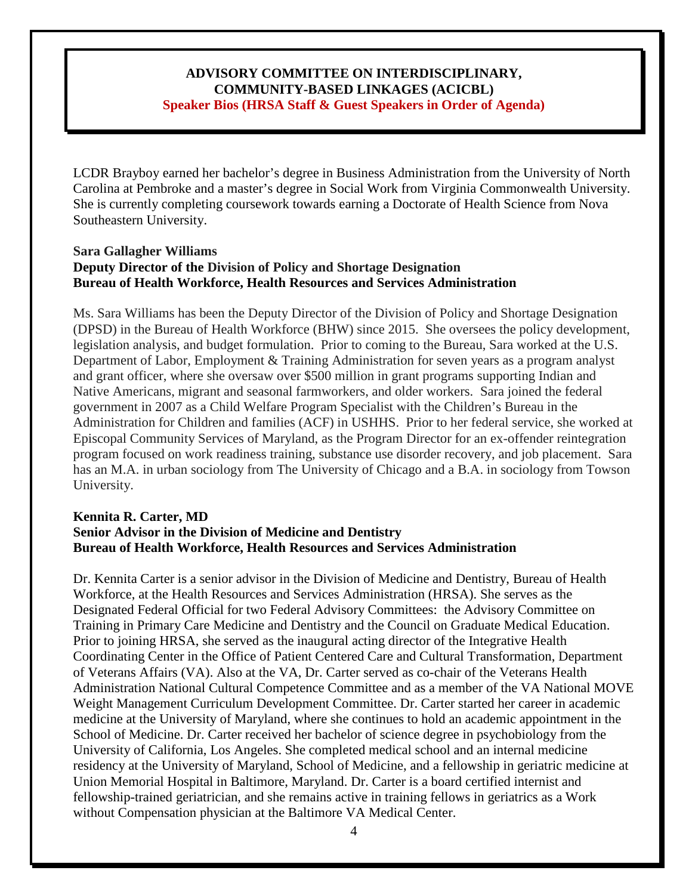She is currently completing coursework towards earning a Doctorate of Health Science from Nova LCDR Brayboy earned her bachelor's degree in Business Administration from the University of North Carolina at Pembroke and a master's degree in Social Work from Virginia Commonwealth University. Southeastern University.

### **Sara Gallagher Williams Deputy Director of the Division of Policy and Shortage Designation Bureau of Health Workforce, Health Resources and Services Administration**

 Ms. Sara Williams has been the Deputy Director of the Division of Policy and Shortage Designation (DPSD) in the Bureau of Health Workforce (BHW) since 2015. She oversees the policy development, legislation analysis, and budget formulation. Prior to coming to the Bureau, Sara worked at the U.S. Department of Labor, Employment & Training Administration for seven years as a program analyst Native Americans, migrant and seasonal farmworkers, and older workers. Sara joined the federal Administration for Children and families (ACF) in USHHS. Prior to her federal service, she worked at program focused on work readiness training, substance use disorder recovery, and job placement. Sara and grant officer, where she oversaw over \$500 million in grant programs supporting Indian and government in 2007 as a Child Welfare Program Specialist with the Children's Bureau in the Episcopal Community Services of Maryland, as the Program Director for an ex-offender reintegration has an M.A. in urban sociology from The University of Chicago and a B.A. in sociology from Towson University.

#### **Kennita R. Carter, MD Senior Advisor in the Division of Medicine and Dentistry Bureau of Health Workforce, Health Resources and Services Administration**

 residency at the University of Maryland, School of Medicine, and a fellowship in geriatric medicine at fellowship-trained geriatrician, and she remains active in training fellows in geriatrics as a Work without Compensation physician at the Baltimore VA Medical Center.<br>4 Dr. Kennita Carter is a senior advisor in the Division of Medicine and Dentistry, Bureau of Health Workforce, at the Health Resources and Services Administration (HRSA). She serves as the Designated Federal Official for two Federal Advisory Committees: the Advisory Committee on Training in Primary Care Medicine and Dentistry and the Council on Graduate Medical Education. Prior to joining HRSA, she served as the inaugural acting director of the Integrative Health Coordinating Center in the Office of Patient Centered Care and Cultural Transformation, Department of Veterans Affairs (VA). Also at the VA, Dr. Carter served as co-chair of the Veterans Health Administration National Cultural Competence Committee and as a member of the VA National MOVE Weight Management Curriculum Development Committee. Dr. Carter started her career in academic medicine at the University of Maryland, where she continues to hold an academic appointment in the School of Medicine. Dr. Carter received her bachelor of science degree in psychobiology from the University of California, Los Angeles. She completed medical school and an internal medicine Union Memorial Hospital in Baltimore, Maryland. Dr. Carter is a board certified internist and